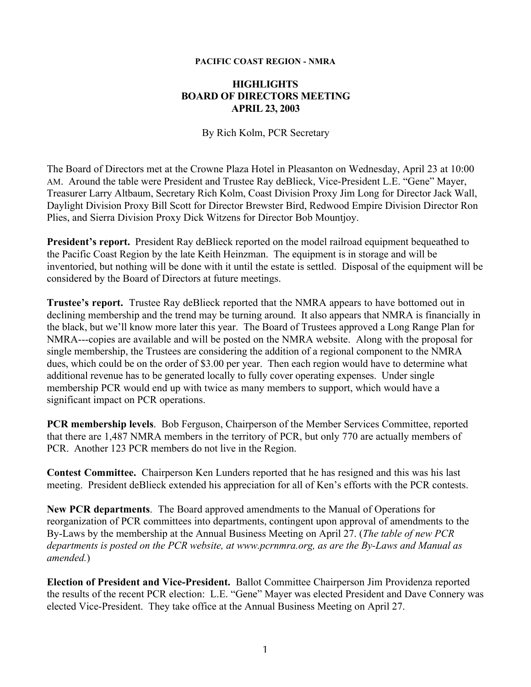## **PACIFIC COAST REGION - NMRA**

## **HIGHLIGHTS BOARD OF DIRECTORS MEETING APRIL 23, 2003**

By Rich Kolm, PCR Secretary

The Board of Directors met at the Crowne Plaza Hotel in Pleasanton on Wednesday, April 23 at 10:00 AM. Around the table were President and Trustee Ray deBlieck, Vice-President L.E. "Gene" Mayer, Treasurer Larry Altbaum, Secretary Rich Kolm, Coast Division Proxy Jim Long for Director Jack Wall, Daylight Division Proxy Bill Scott for Director Brewster Bird, Redwood Empire Division Director Ron Plies, and Sierra Division Proxy Dick Witzens for Director Bob Mountjoy.

**President's report.** President Ray deBlieck reported on the model railroad equipment bequeathed to the Pacific Coast Region by the late Keith Heinzman. The equipment is in storage and will be inventoried, but nothing will be done with it until the estate is settled. Disposal of the equipment will be considered by the Board of Directors at future meetings.

**Trustee's report.** Trustee Ray deBlieck reported that the NMRA appears to have bottomed out in declining membership and the trend may be turning around. It also appears that NMRA is financially in the black, but we'll know more later this year. The Board of Trustees approved a Long Range Plan for NMRA---copies are available and will be posted on the NMRA website. Along with the proposal for single membership, the Trustees are considering the addition of a regional component to the NMRA dues, which could be on the order of \$3.00 per year. Then each region would have to determine what additional revenue has to be generated locally to fully cover operating expenses. Under single membership PCR would end up with twice as many members to support, which would have a significant impact on PCR operations.

**PCR membership levels**. Bob Ferguson, Chairperson of the Member Services Committee, reported that there are 1,487 NMRA members in the territory of PCR, but only 770 are actually members of PCR. Another 123 PCR members do not live in the Region.

**Contest Committee.** Chairperson Ken Lunders reported that he has resigned and this was his last meeting. President deBlieck extended his appreciation for all of Ken's efforts with the PCR contests.

**New PCR departments**. The Board approved amendments to the Manual of Operations for reorganization of PCR committees into departments, contingent upon approval of amendments to the By-Laws by the membership at the Annual Business Meeting on April 27. (*The table of new PCR departments is posted on the PCR website, at www.pcrnmra.org, as are the By-Laws and Manual as amended.*)

**Election of President and Vice-President.** Ballot Committee Chairperson Jim Providenza reported the results of the recent PCR election: L.E. "Gene" Mayer was elected President and Dave Connery was elected Vice-President. They take office at the Annual Business Meeting on April 27.